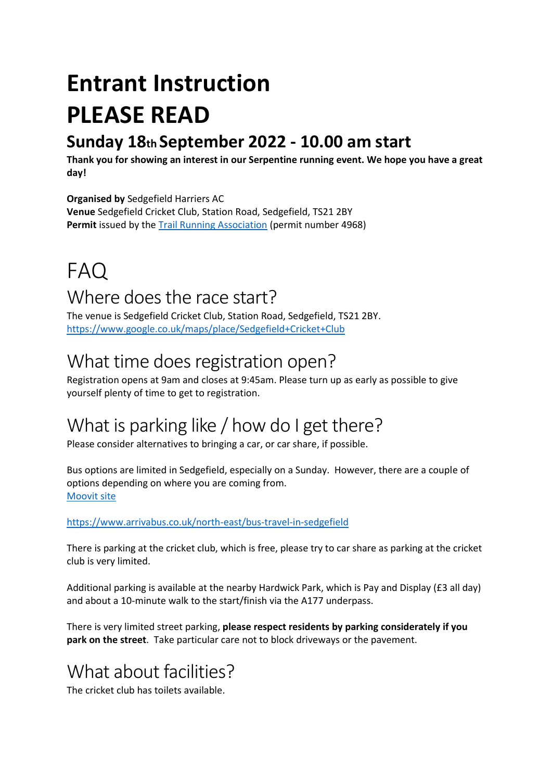## **Entrant Instruction PLEASE READ**

#### **Sunday 18th September 2022 - 10.00 am start**

**Thank you for showing an interest in our Serpentine running event. We hope you have a great day!** 

#### **Organised by** Sedgefield Harriers AC

**Venue** Sedgefield Cricket Club, Station Road, Sedgefield, TS21 2BY Permit issued by the [Trail Running Association](https://www.tra-uk.org/) (permit number 4968)

# FAQ

#### Where does the race start?

The venue is Sedgefield Cricket Club, Station Road, Sedgefield, TS21 2BY. <https://www.google.co.uk/maps/place/Sedgefield+Cricket+Club>

#### What time does registration open?

Registration opens at 9am and closes at 9:45am. Please turn up as early as possible to give yourself plenty of time to get to registration.

#### What is parking like / how do I get there?

Please consider alternatives to bringing a car, or car share, if possible.

Bus options are limited in Sedgefield, especially on a Sunday. However, there are a couple of options depending on where you are coming from. [Moovit](https://moovitapp.com/index/en-gb/public_transportation-Sedgefield-North_East-site_35102278-2104) site

<https://www.arrivabus.co.uk/north-east/bus-travel-in-sedgefield>

There is parking at the cricket club, which is free, please try to car share as parking at the cricket club is very limited.

Additional parking is available at the nearby Hardwick Park, which is Pay and Display (£3 all day) and about a 10-minute walk to the start/finish via the A177 underpass.

There is very limited street parking, **please respect residents by parking considerately if you park on the street**. Take particular care not to block driveways or the pavement.

#### What about facilities?

The cricket club has toilets available.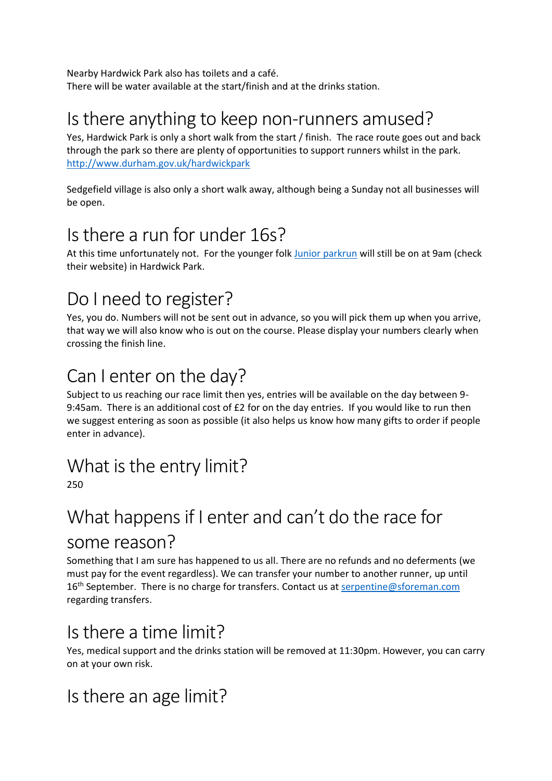Nearby Hardwick Park also has toilets and a café. There will be water available at the start/finish and at the drinks station.

#### Is there anything to keep non-runners amused?

Yes, Hardwick Park is only a short walk from the start / finish. The race route goes out and back through the park so there are plenty of opportunities to support runners whilst in the park. <http://www.durham.gov.uk/hardwickpark>

Sedgefield village is also only a short walk away, although being a Sunday not all businesses will be open.

#### Is there a run for under 16s?

At this time unfortunately not. For the younger folk [Junior parkrun](http://www.parkrun.org.uk/sedgefield-juniors/) will still be on at 9am (check their website) in Hardwick Park.

### Do I need to register?

Yes, you do. Numbers will not be sent out in advance, so you will pick them up when you arrive, that way we will also know who is out on the course. Please display your numbers clearly when crossing the finish line.

#### Can I enter on the day?

Subject to us reaching our race limit then yes, entries will be available on the day between 9- 9:45am. There is an additional cost of £2 for on the day entries. If you would like to run then we suggest entering as soon as possible (it also helps us know how many gifts to order if people enter in advance).

#### What is the entry limit?

250

#### What happens if I enter and can't do the race for some reason?

Something that I am sure has happened to us all. There are no refunds and no deferments (we must pay for the event regardless). We can transfer your number to another runner, up until 16<sup>th</sup> September. There is no charge for transfers. Contact us at [serpentine@sforeman.com](mailto:serpentine@sforeman.com) regarding transfers.

#### Is there a time limit?

Yes, medical support and the drinks station will be removed at 11:30pm. However, you can carry on at your own risk.

#### Is there an age limit?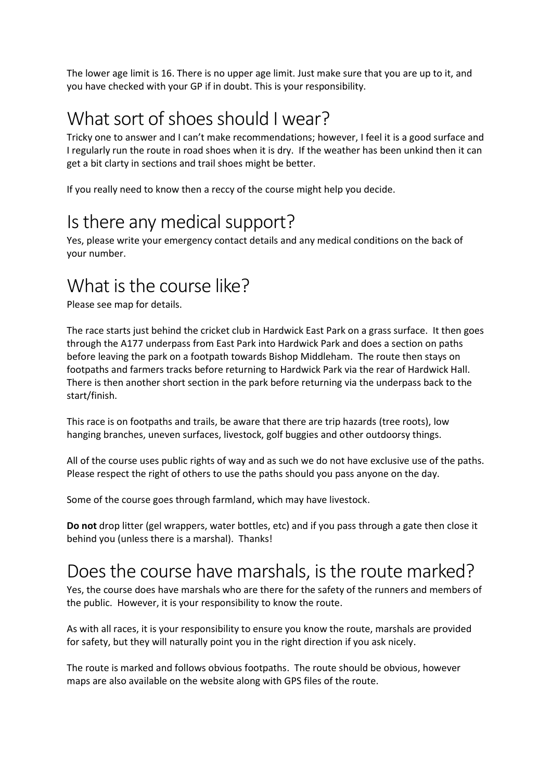The lower age limit is 16. There is no upper age limit. Just make sure that you are up to it, and you have checked with your GP if in doubt. This is your responsibility.

#### What sort of shoes should I wear?

Tricky one to answer and I can't make recommendations; however, I feel it is a good surface and I regularly run the route in road shoes when it is dry. If the weather has been unkind then it can get a bit clarty in sections and trail shoes might be better.

If you really need to know then a reccy of the course might help you decide.

#### Is there any medical support?

Yes, please write your emergency contact details and any medical conditions on the back of your number.

#### What is the course like?

Please see map for details.

The race starts just behind the cricket club in Hardwick East Park on a grass surface. It then goes through the A177 underpass from East Park into Hardwick Park and does a section on paths before leaving the park on a footpath towards Bishop Middleham. The route then stays on footpaths and farmers tracks before returning to Hardwick Park via the rear of Hardwick Hall. There is then another short section in the park before returning via the underpass back to the start/finish.

This race is on footpaths and trails, be aware that there are trip hazards (tree roots), low hanging branches, uneven surfaces, livestock, golf buggies and other outdoorsy things.

All of the course uses public rights of way and as such we do not have exclusive use of the paths. Please respect the right of others to use the paths should you pass anyone on the day.

Some of the course goes through farmland, which may have livestock.

**Do not** drop litter (gel wrappers, water bottles, etc) and if you pass through a gate then close it behind you (unless there is a marshal). Thanks!

#### Does the course have marshals, is the route marked?

Yes, the course does have marshals who are there for the safety of the runners and members of the public. However, it is your responsibility to know the route.

As with all races, it is your responsibility to ensure you know the route, marshals are provided for safety, but they will naturally point you in the right direction if you ask nicely.

The route is marked and follows obvious footpaths. The route should be obvious, however maps are also available on the website along with GPS files of the route.